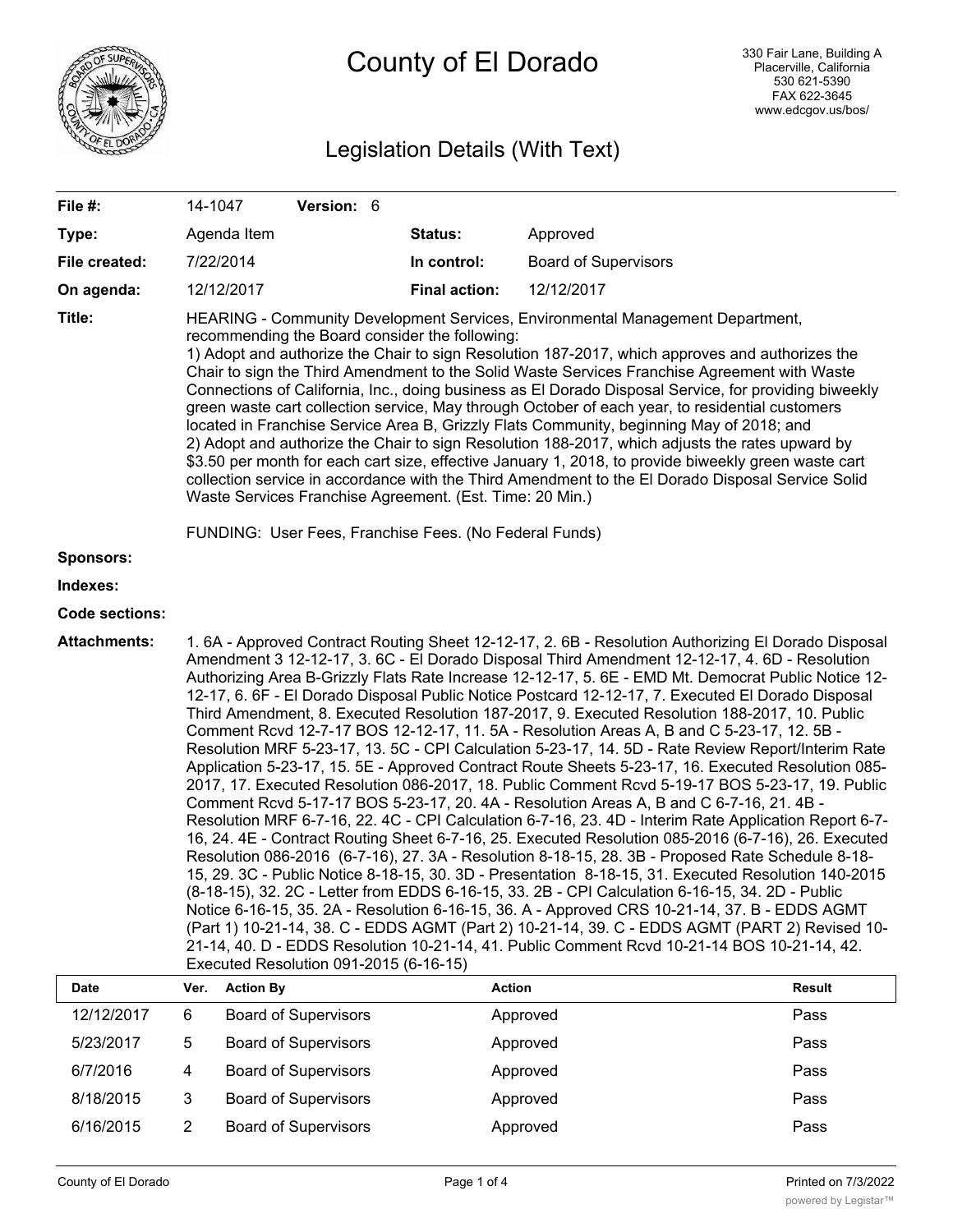

# Legislation Details (With Text)

| File #:               | 14-1047                                                                                                                                                                                                                                                                                                                                                                                                                                                                                                                                                                                                                                                                                                                                                                                                                                                                                                                                                                                                                                                                                                                                                                                                                                                                                                                                                                                                                                                                                                                                                                                                                                                                                                                                                                                                                                                                                          |                             | Version: 6                  |          |                      |               |                             |               |
|-----------------------|--------------------------------------------------------------------------------------------------------------------------------------------------------------------------------------------------------------------------------------------------------------------------------------------------------------------------------------------------------------------------------------------------------------------------------------------------------------------------------------------------------------------------------------------------------------------------------------------------------------------------------------------------------------------------------------------------------------------------------------------------------------------------------------------------------------------------------------------------------------------------------------------------------------------------------------------------------------------------------------------------------------------------------------------------------------------------------------------------------------------------------------------------------------------------------------------------------------------------------------------------------------------------------------------------------------------------------------------------------------------------------------------------------------------------------------------------------------------------------------------------------------------------------------------------------------------------------------------------------------------------------------------------------------------------------------------------------------------------------------------------------------------------------------------------------------------------------------------------------------------------------------------------|-----------------------------|-----------------------------|----------|----------------------|---------------|-----------------------------|---------------|
| Type:                 |                                                                                                                                                                                                                                                                                                                                                                                                                                                                                                                                                                                                                                                                                                                                                                                                                                                                                                                                                                                                                                                                                                                                                                                                                                                                                                                                                                                                                                                                                                                                                                                                                                                                                                                                                                                                                                                                                                  | Agenda Item                 |                             |          | Status:              |               | Approved                    |               |
| File created:         | 7/22/2014                                                                                                                                                                                                                                                                                                                                                                                                                                                                                                                                                                                                                                                                                                                                                                                                                                                                                                                                                                                                                                                                                                                                                                                                                                                                                                                                                                                                                                                                                                                                                                                                                                                                                                                                                                                                                                                                                        |                             |                             |          | In control:          |               | <b>Board of Supervisors</b> |               |
| On agenda:            |                                                                                                                                                                                                                                                                                                                                                                                                                                                                                                                                                                                                                                                                                                                                                                                                                                                                                                                                                                                                                                                                                                                                                                                                                                                                                                                                                                                                                                                                                                                                                                                                                                                                                                                                                                                                                                                                                                  | 12/12/2017                  |                             |          | <b>Final action:</b> |               | 12/12/2017                  |               |
| Title:                | HEARING - Community Development Services, Environmental Management Department,<br>recommending the Board consider the following:<br>1) Adopt and authorize the Chair to sign Resolution 187-2017, which approves and authorizes the<br>Chair to sign the Third Amendment to the Solid Waste Services Franchise Agreement with Waste<br>Connections of California, Inc., doing business as El Dorado Disposal Service, for providing biweekly<br>green waste cart collection service, May through October of each year, to residential customers<br>located in Franchise Service Area B, Grizzly Flats Community, beginning May of 2018; and<br>2) Adopt and authorize the Chair to sign Resolution 188-2017, which adjusts the rates upward by<br>\$3.50 per month for each cart size, effective January 1, 2018, to provide biweekly green waste cart<br>collection service in accordance with the Third Amendment to the El Dorado Disposal Service Solid<br>Waste Services Franchise Agreement. (Est. Time: 20 Min.)                                                                                                                                                                                                                                                                                                                                                                                                                                                                                                                                                                                                                                                                                                                                                                                                                                                                          |                             |                             |          |                      |               |                             |               |
| <b>Sponsors:</b>      | FUNDING: User Fees, Franchise Fees. (No Federal Funds)                                                                                                                                                                                                                                                                                                                                                                                                                                                                                                                                                                                                                                                                                                                                                                                                                                                                                                                                                                                                                                                                                                                                                                                                                                                                                                                                                                                                                                                                                                                                                                                                                                                                                                                                                                                                                                           |                             |                             |          |                      |               |                             |               |
| Indexes:              |                                                                                                                                                                                                                                                                                                                                                                                                                                                                                                                                                                                                                                                                                                                                                                                                                                                                                                                                                                                                                                                                                                                                                                                                                                                                                                                                                                                                                                                                                                                                                                                                                                                                                                                                                                                                                                                                                                  |                             |                             |          |                      |               |                             |               |
| <b>Code sections:</b> |                                                                                                                                                                                                                                                                                                                                                                                                                                                                                                                                                                                                                                                                                                                                                                                                                                                                                                                                                                                                                                                                                                                                                                                                                                                                                                                                                                                                                                                                                                                                                                                                                                                                                                                                                                                                                                                                                                  |                             |                             |          |                      |               |                             |               |
| <b>Attachments:</b>   | 1.6A - Approved Contract Routing Sheet 12-12-17, 2.6B - Resolution Authorizing El Dorado Disposal<br>Amendment 3 12-12-17, 3. 6C - El Dorado Disposal Third Amendment 12-12-17, 4. 6D - Resolution<br>Authorizing Area B-Grizzly Flats Rate Increase 12-12-17, 5. 6E - EMD Mt. Democrat Public Notice 12-<br>12-17, 6. 6F - El Dorado Disposal Public Notice Postcard 12-12-17, 7. Executed El Dorado Disposal<br>Third Amendment, 8. Executed Resolution 187-2017, 9. Executed Resolution 188-2017, 10. Public<br>Comment Rcvd 12-7-17 BOS 12-12-17, 11. 5A - Resolution Areas A, B and C 5-23-17, 12. 5B -<br>Resolution MRF 5-23-17, 13. 5C - CPI Calculation 5-23-17, 14. 5D - Rate Review Report/Interim Rate<br>Application 5-23-17, 15. 5E - Approved Contract Route Sheets 5-23-17, 16. Executed Resolution 085-<br>2017, 17. Executed Resolution 086-2017, 18. Public Comment Rcvd 5-19-17 BOS 5-23-17, 19. Public<br>Comment Rcvd 5-17-17 BOS 5-23-17, 20. 4A - Resolution Areas A, B and C 6-7-16, 21. 4B -<br>Resolution MRF 6-7-16, 22. 4C - CPI Calculation 6-7-16, 23. 4D - Interim Rate Application Report 6-7-<br>16, 24. 4E - Contract Routing Sheet 6-7-16, 25. Executed Resolution 085-2016 (6-7-16), 26. Executed<br>Resolution 086-2016 (6-7-16), 27. 3A - Resolution 8-18-15, 28. 3B - Proposed Rate Schedule 8-18-<br>15, 29. 3C - Public Notice 8-18-15, 30. 3D - Presentation 8-18-15, 31. Executed Resolution 140-2015<br>(8-18-15), 32. 2C - Letter from EDDS 6-16-15, 33. 2B - CPI Calculation 6-16-15, 34. 2D - Public<br>Notice 6-16-15, 35. 2A - Resolution 6-16-15, 36. A - Approved CRS 10-21-14, 37. B - EDDS AGMT<br>(Part 1) 10-21-14, 38. C - EDDS AGMT (Part 2) 10-21-14, 39. C - EDDS AGMT (PART 2) Revised 10-<br>21-14, 40. D - EDDS Resolution 10-21-14, 41. Public Comment Rcvd 10-21-14 BOS 10-21-14, 42.<br>Executed Resolution 091-2015 (6-16-15) |                             |                             |          |                      |               |                             |               |
| Date                  | Ver.                                                                                                                                                                                                                                                                                                                                                                                                                                                                                                                                                                                                                                                                                                                                                                                                                                                                                                                                                                                                                                                                                                                                                                                                                                                                                                                                                                                                                                                                                                                                                                                                                                                                                                                                                                                                                                                                                             | <b>Action By</b>            |                             |          |                      | <b>Action</b> |                             | <b>Result</b> |
| 12/12/2017            | 6                                                                                                                                                                                                                                                                                                                                                                                                                                                                                                                                                                                                                                                                                                                                                                                                                                                                                                                                                                                                                                                                                                                                                                                                                                                                                                                                                                                                                                                                                                                                                                                                                                                                                                                                                                                                                                                                                                |                             | <b>Board of Supervisors</b> |          |                      | Approved      |                             | Pass          |
| 5/23/2017             | 5                                                                                                                                                                                                                                                                                                                                                                                                                                                                                                                                                                                                                                                                                                                                                                                                                                                                                                                                                                                                                                                                                                                                                                                                                                                                                                                                                                                                                                                                                                                                                                                                                                                                                                                                                                                                                                                                                                |                             | <b>Board of Supervisors</b> |          |                      | Approved      |                             | Pass          |
| 6/7/2016              | $\overline{4}$                                                                                                                                                                                                                                                                                                                                                                                                                                                                                                                                                                                                                                                                                                                                                                                                                                                                                                                                                                                                                                                                                                                                                                                                                                                                                                                                                                                                                                                                                                                                                                                                                                                                                                                                                                                                                                                                                   | <b>Board of Supervisors</b> |                             |          | Approved             |               |                             | Pass          |
| 8/18/2015             | 3                                                                                                                                                                                                                                                                                                                                                                                                                                                                                                                                                                                                                                                                                                                                                                                                                                                                                                                                                                                                                                                                                                                                                                                                                                                                                                                                                                                                                                                                                                                                                                                                                                                                                                                                                                                                                                                                                                |                             | <b>Board of Supervisors</b> |          |                      | Approved      |                             | Pass          |
| 6/16/2015             | $\overline{2}$                                                                                                                                                                                                                                                                                                                                                                                                                                                                                                                                                                                                                                                                                                                                                                                                                                                                                                                                                                                                                                                                                                                                                                                                                                                                                                                                                                                                                                                                                                                                                                                                                                                                                                                                                                                                                                                                                   | <b>Board of Supervisors</b> |                             | Approved |                      | Pass          |                             |               |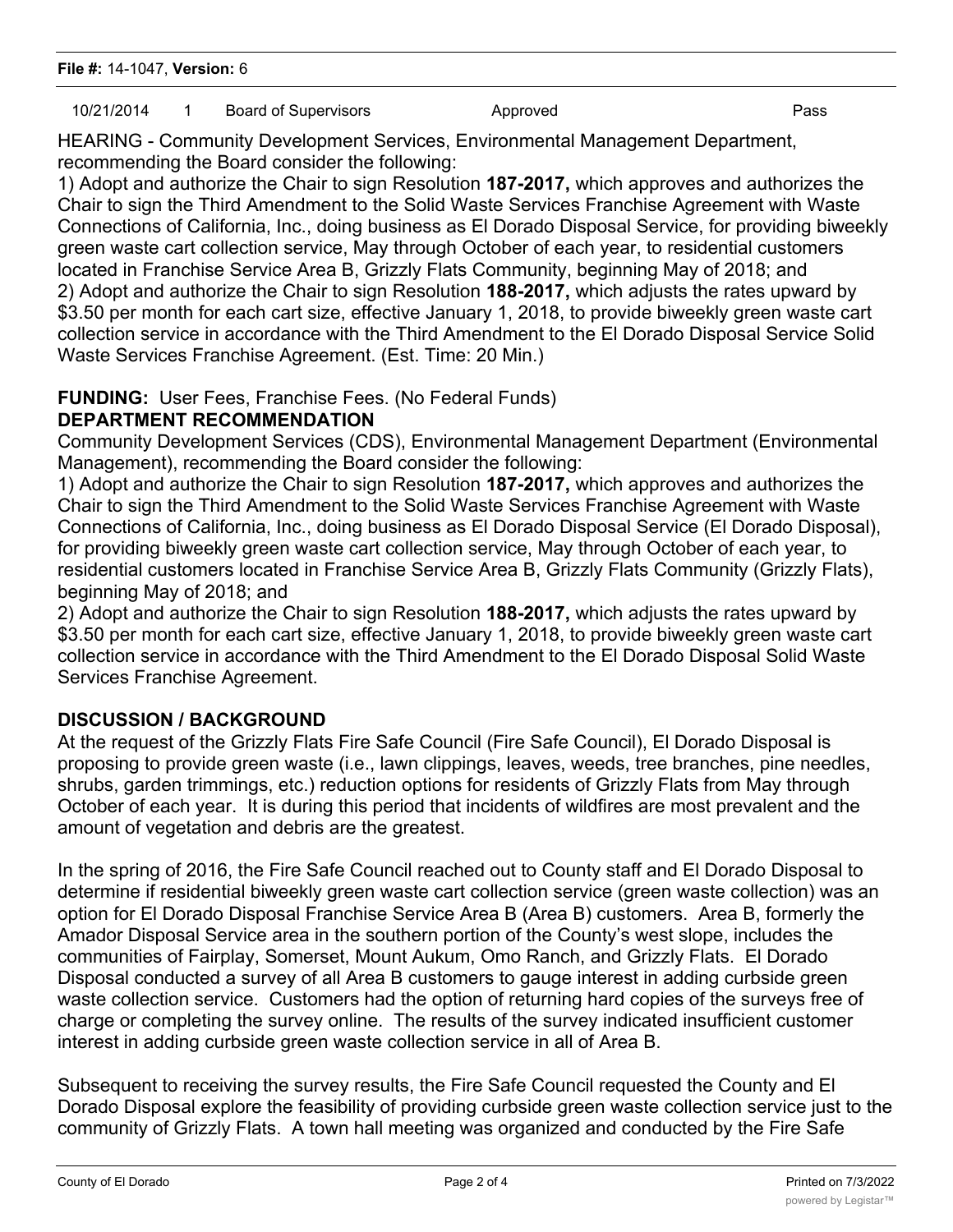# 10/21/2014 1 Board of Supervisors Approved Approved Pass

HEARING - Community Development Services, Environmental Management Department, recommending the Board consider the following:

1) Adopt and authorize the Chair to sign Resolution **187-2017,** which approves and authorizes the Chair to sign the Third Amendment to the Solid Waste Services Franchise Agreement with Waste Connections of California, Inc., doing business as El Dorado Disposal Service, for providing biweekly green waste cart collection service, May through October of each year, to residential customers located in Franchise Service Area B, Grizzly Flats Community, beginning May of 2018; and 2) Adopt and authorize the Chair to sign Resolution **188-2017,** which adjusts the rates upward by \$3.50 per month for each cart size, effective January 1, 2018, to provide biweekly green waste cart collection service in accordance with the Third Amendment to the El Dorado Disposal Service Solid Waste Services Franchise Agreement. (Est. Time: 20 Min.)

#### **FUNDING:** User Fees, Franchise Fees. (No Federal Funds) **DEPARTMENT RECOMMENDATION**

Community Development Services (CDS), Environmental Management Department (Environmental Management), recommending the Board consider the following:

1) Adopt and authorize the Chair to sign Resolution **187-2017,** which approves and authorizes the Chair to sign the Third Amendment to the Solid Waste Services Franchise Agreement with Waste Connections of California, Inc., doing business as El Dorado Disposal Service (El Dorado Disposal), for providing biweekly green waste cart collection service, May through October of each year, to residential customers located in Franchise Service Area B, Grizzly Flats Community (Grizzly Flats), beginning May of 2018; and

2) Adopt and authorize the Chair to sign Resolution **188-2017,** which adjusts the rates upward by \$3.50 per month for each cart size, effective January 1, 2018, to provide biweekly green waste cart collection service in accordance with the Third Amendment to the El Dorado Disposal Solid Waste Services Franchise Agreement.

# **DISCUSSION / BACKGROUND**

At the request of the Grizzly Flats Fire Safe Council (Fire Safe Council), El Dorado Disposal is proposing to provide green waste (i.e., lawn clippings, leaves, weeds, tree branches, pine needles, shrubs, garden trimmings, etc.) reduction options for residents of Grizzly Flats from May through October of each year. It is during this period that incidents of wildfires are most prevalent and the amount of vegetation and debris are the greatest.

In the spring of 2016, the Fire Safe Council reached out to County staff and El Dorado Disposal to determine if residential biweekly green waste cart collection service (green waste collection) was an option for El Dorado Disposal Franchise Service Area B (Area B) customers. Area B, formerly the Amador Disposal Service area in the southern portion of the County's west slope, includes the communities of Fairplay, Somerset, Mount Aukum, Omo Ranch, and Grizzly Flats. El Dorado Disposal conducted a survey of all Area B customers to gauge interest in adding curbside green waste collection service. Customers had the option of returning hard copies of the surveys free of charge or completing the survey online. The results of the survey indicated insufficient customer interest in adding curbside green waste collection service in all of Area B.

Subsequent to receiving the survey results, the Fire Safe Council requested the County and El Dorado Disposal explore the feasibility of providing curbside green waste collection service just to the community of Grizzly Flats. A town hall meeting was organized and conducted by the Fire Safe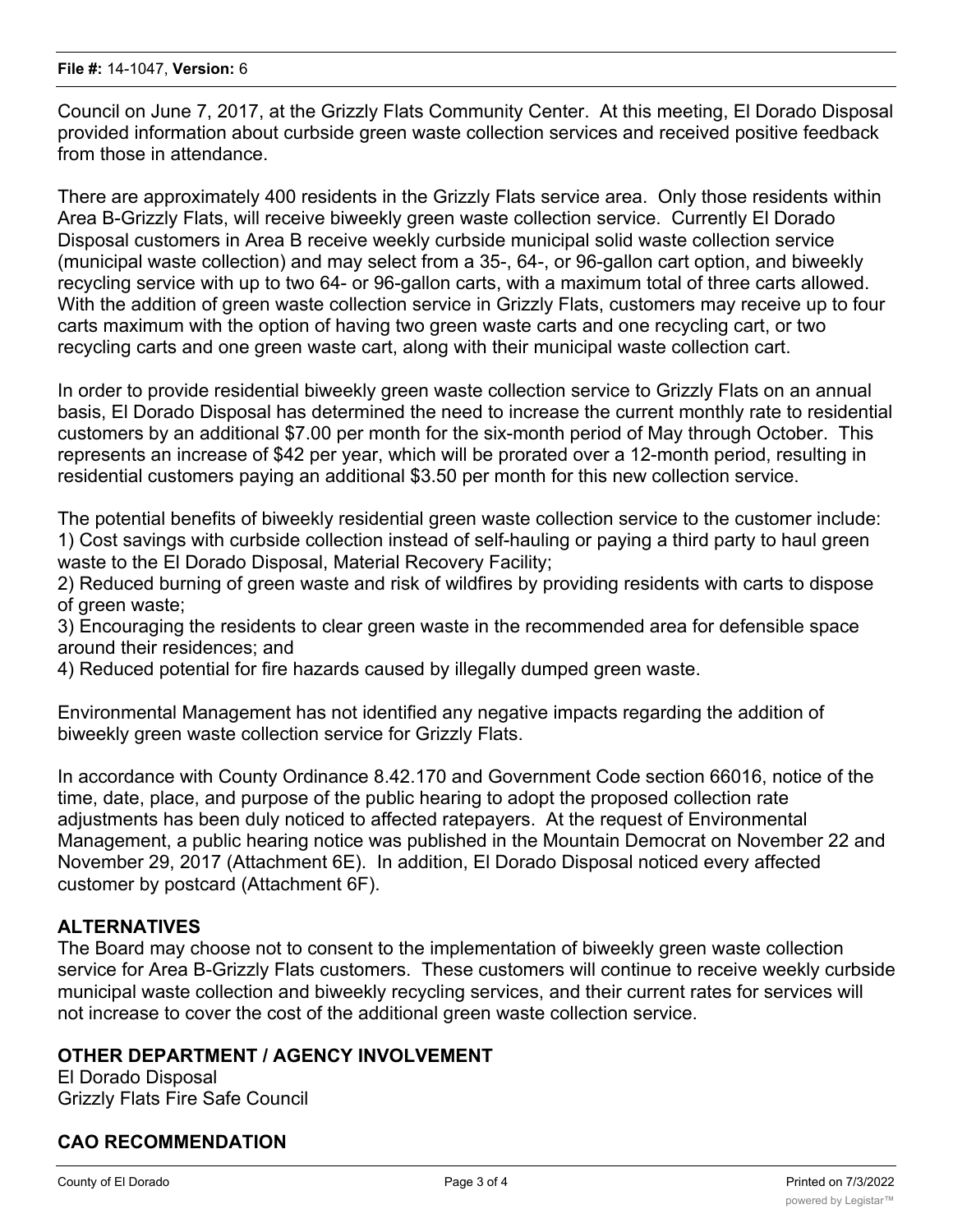Council on June 7, 2017, at the Grizzly Flats Community Center. At this meeting, El Dorado Disposal provided information about curbside green waste collection services and received positive feedback from those in attendance.

There are approximately 400 residents in the Grizzly Flats service area. Only those residents within Area B-Grizzly Flats, will receive biweekly green waste collection service. Currently El Dorado Disposal customers in Area B receive weekly curbside municipal solid waste collection service (municipal waste collection) and may select from a 35-, 64-, or 96-gallon cart option, and biweekly recycling service with up to two 64- or 96-gallon carts, with a maximum total of three carts allowed. With the addition of green waste collection service in Grizzly Flats, customers may receive up to four carts maximum with the option of having two green waste carts and one recycling cart, or two recycling carts and one green waste cart, along with their municipal waste collection cart.

In order to provide residential biweekly green waste collection service to Grizzly Flats on an annual basis, El Dorado Disposal has determined the need to increase the current monthly rate to residential customers by an additional \$7.00 per month for the six-month period of May through October. This represents an increase of \$42 per year, which will be prorated over a 12-month period, resulting in residential customers paying an additional \$3.50 per month for this new collection service.

The potential benefits of biweekly residential green waste collection service to the customer include: 1) Cost savings with curbside collection instead of self-hauling or paying a third party to haul green waste to the El Dorado Disposal, Material Recovery Facility;

2) Reduced burning of green waste and risk of wildfires by providing residents with carts to dispose of green waste;

3) Encouraging the residents to clear green waste in the recommended area for defensible space around their residences; and

4) Reduced potential for fire hazards caused by illegally dumped green waste.

Environmental Management has not identified any negative impacts regarding the addition of biweekly green waste collection service for Grizzly Flats.

In accordance with County Ordinance 8.42.170 and Government Code section 66016, notice of the time, date, place, and purpose of the public hearing to adopt the proposed collection rate adjustments has been duly noticed to affected ratepayers. At the request of Environmental Management, a public hearing notice was published in the Mountain Democrat on November 22 and November 29, 2017 (Attachment 6E). In addition, El Dorado Disposal noticed every affected customer by postcard (Attachment 6F).

## **ALTERNATIVES**

The Board may choose not to consent to the implementation of biweekly green waste collection service for Area B-Grizzly Flats customers. These customers will continue to receive weekly curbside municipal waste collection and biweekly recycling services, and their current rates for services will not increase to cover the cost of the additional green waste collection service.

## **OTHER DEPARTMENT / AGENCY INVOLVEMENT**

El Dorado Disposal Grizzly Flats Fire Safe Council

# **CAO RECOMMENDATION**